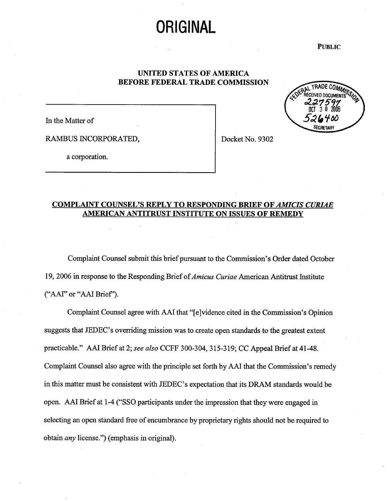# **ORIGINAL**

PUBLIC

## UNITED STATES OF AMERICA BEFORE FEDERAL TRADE COMMISSION



In the Matter of

RAMBUS INCORPORATED,  $\vert$  Docket No. 9302

a corporation.

## COMPLAINT COUNSEL'S REPLY TO RESPONDING BRIEF OF AMICIS CURIAE AMERICAN ANTITRUST INSTITUTE ON ISSUES OF REMEDY

Complaint Counsel submit this brief pursuant to the Commission's Order dated October 19, 2006 in response to the Responding Brief of Amicus Curiae American Antitrust Institute ("AAI" or "AAI Brief").

Complaint Counsel agree with AAI that "[e]vidence cited in the Commission's Opinion suggests that JEDEC's overriding mission was to create open standards to the greatest extent practicable." AAI Brief at 2; see also CCFF 300-304, 315-319; CC Appeal Brief at 41-48. Complaint Counsel also agree with the principle set forth by AAI that the Commission's remedy in this matter must be consistent with JEDEC's expectation that its DRAM standards would be open. AAI Brief at 1-4 ("SSO participants under the impression that they were engaged in selecting an open standard free of encumbrance by proprietary rights should not be required to obtain *any* license.") (emphasis in original).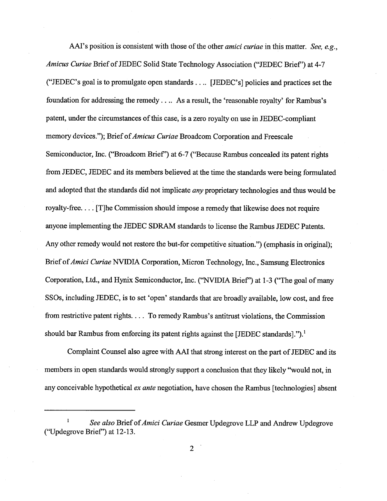AAI's position is consistent with those of the other *amici curiae* in this matter. See, e.g., Amicus Curiae Brief of JEDEC Solid State Technology Association ("JEDEC Brief") at 4-("JEDEC's goal is to promulgate open standards.... [JEDEC's] policies and practices set the foundation for addressing the remedy.... As a result, the 'reasonable royalty' for Rambus's patent, under the circumstances of this case, is a zero royalty on use in JEDEC-compliant memory devices."); Brief of Amicus Curiae Broadcom Corporation and Freescale Semiconductor, Inc. ("Broadcom Brief") at 6-7 ("Because Rambus concealed its patent rights from JEDEC, JEDEC and its members believed at the time the standards were being formulated and adopted that the standards did not implicate *any* proprietary technologies and thus would be royalty- free. . . . (T)he Commission should impose a remedy that likewise does not require anyone implementing the JEDEC SDRAM standards to license the Rambus JEDEC Patents. Any other remedy would not restore the but-for competitive situation." (emphasis in original); Brief of Amici Curiae NVIDIA Corporation, Micron Technology, Inc., Samsung Electronics Corporation, Ltd., and Hynx Semiconductor, Inc. ("NVIDIA Brief') at 1-3 ("The goal of many SSOs, including JEDEC, is to set 'open' standards that are broadly available, low cost, and free from restrictive patent rights.  $\dots$  To remedy Rambus's antitrust violations, the Commission should bar Rambus from enforcing its patent rights against the [JEDEC standards]." $)$ .

Complaint Counsel also agree with AAI that strong interest on the part of JEDEC and its members in open standards would strongly support a conclusion that they likely "would not, in any conceivable hypothetical ex ante negotiation, have chosen the Rambus [technologies] absent

 $\overline{2}$ 

 $\mathbf{I}$ See also Brief of Amici Curiae Gesmer Updegrove LLP and Andrew Updegrove ("Updegrove Brief") at 12-13.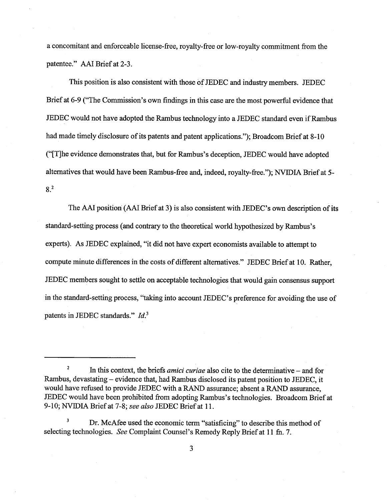a concomitant and enforceable license-free, royalty-free or low-royalty commitment from the patentee." AAI Brief at 2-3.

This position is also consistent with those of JEDEC and industry members. JEDEC Brief at 6-9 ("The Commission's own findings in this case are the most powerful evidence that JEDEC would not have adopted the Rambus technology into a JEDEC standard even if Rambus had made timely disclosure of its patents and patent applications."); Broadcom Brief at 8-10 ("[T]he evidence demonstrates that, but for Rambus's deception, JEDEC would have adopted alternatives that would have been Rambus-free and, indeed, royalty-free."); NVIDIA Brief at 5- $8<sup>2</sup>$ 

The AAI position (AAI Brief at 3) is also consistent with JEDEC's own description of its standard-setting process (and contrary to the theoretical world hypothesized by Rambus's experts). As JEDEC explained, "it did not have expert economists available to attempt to compute minute differences in the costs of different alternatives." JEDEC Brief at 10. Rather JEDEC members sought to settle on acceptable technologies that would gain consensus support in the standard-setting process, "taking into account JEDEC's preference for avoiding the use of patents in JEDEC standards."  $Id<sup>3</sup>$ 

 $\boldsymbol{2}$ In this context, the briefs *amici curiae* also cite to the determinative – and for Rambus, devastating - evidence that, had Rambus disclosed its patent position to JEDEC, it would have refused to provide JEDEC with a RAND assurance; absent a RAND assurance, JEDEC would have been prohibited from adopting Rambus's technologies. Broadcom Brief at 10; NVIDIA Brief at 7-8; see also JEDEC Brief at 11.

 $\mathbf 3$ Dr. McAfee used the economic term "satisficing" to describe this method of selecting technologies. See Complaint Counsel's Remedy Reply Brief at 11 fn. 7.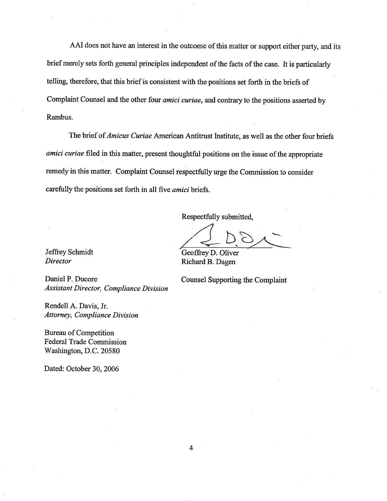AAI does not have an interest in the outcome of this matter or support either party, and its brief merely sets forth general principles independent of the facts of the case. It is paricularly tellng, therefore, that this brief is consistent with the positions set forth in the briefs of Complaint Counsel and the other four *amici curiae*, and contrary to the positions asserted by Rambus.

The brief of *Amicus Curiae* American Antitrust Institute, as well as the other four briefs amici curiae filed in this matter, present thoughtful positions on the issue of the appropriate remedy in this matter. Complaint Counsel respectfully urge the Commission to consider carefully the positions set forth in all five amici briefs.

Respectfully submitted

Jeffrey Schmidt GeoffreyD. Oliver Director Richard B. Dagen

Daniel P. Ducore Counsel Supporting the Complaint Assistant Director, Compliance Division

Rendell A. Davis, Jr. Attorney, Compliance Division

Bureau of Competition Pederal Trade Commission Washington, D.C. 20580

Dated: October 30, 2006